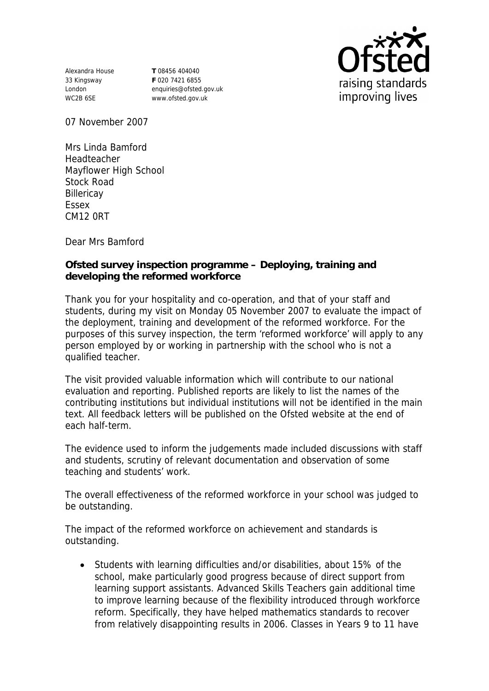Alexandra House 33 Kingsway London WC2B 6SE

**T** 08456 404040 **F** 020 7421 6855 enquiries@ofsted.gov.uk www.ofsted.gov.uk



07 November 2007

Mrs Linda Bamford Headteacher Mayflower High School Stock Road **Billericav** Essex CM12 0RT

Dear Mrs Bamford

**Ofsted survey inspection programme – Deploying, training and developing the reformed workforce** 

Thank you for your hospitality and co-operation, and that of your staff and students, during my visit on Monday 05 November 2007 to evaluate the impact of the deployment, training and development of the reformed workforce. For the purposes of this survey inspection, the term 'reformed workforce' will apply to any person employed by or working in partnership with the school who is not a qualified teacher.

The visit provided valuable information which will contribute to our national evaluation and reporting. Published reports are likely to list the names of the contributing institutions but individual institutions will not be identified in the main text. All feedback letters will be published on the Ofsted website at the end of each half-term.

The evidence used to inform the judgements made included discussions with staff and students, scrutiny of relevant documentation and observation of some teaching and students' work.

The overall effectiveness of the reformed workforce in your school was judged to be outstanding.

The impact of the reformed workforce on achievement and standards is outstanding.

 Students with learning difficulties and/or disabilities, about 15% of the school, make particularly good progress because of direct support from learning support assistants. Advanced Skills Teachers gain additional time to improve learning because of the flexibility introduced through workforce reform. Specifically, they have helped mathematics standards to recover from relatively disappointing results in 2006. Classes in Years 9 to 11 have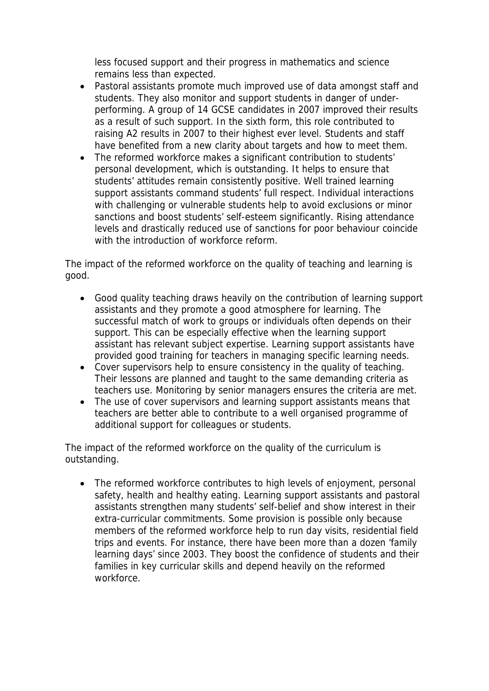less focused support and their progress in mathematics and science remains less than expected.

- Pastoral assistants promote much improved use of data amongst staff and students. They also monitor and support students in danger of underperforming. A group of 14 GCSE candidates in 2007 improved their results as a result of such support. In the sixth form, this role contributed to raising A2 results in 2007 to their highest ever level. Students and staff have benefited from a new clarity about targets and how to meet them.
- The reformed workforce makes a significant contribution to students' personal development, which is outstanding. It helps to ensure that students' attitudes remain consistently positive. Well trained learning support assistants command students' full respect. Individual interactions with challenging or vulnerable students help to avoid exclusions or minor sanctions and boost students' self-esteem significantly. Rising attendance levels and drastically reduced use of sanctions for poor behaviour coincide with the introduction of workforce reform.

The impact of the reformed workforce on the quality of teaching and learning is good.

- Good quality teaching draws heavily on the contribution of learning support assistants and they promote a good atmosphere for learning. The successful match of work to groups or individuals often depends on their support. This can be especially effective when the learning support assistant has relevant subject expertise. Learning support assistants have provided good training for teachers in managing specific learning needs.
- Cover supervisors help to ensure consistency in the quality of teaching. Their lessons are planned and taught to the same demanding criteria as teachers use. Monitoring by senior managers ensures the criteria are met.
- The use of cover supervisors and learning support assistants means that teachers are better able to contribute to a well organised programme of additional support for colleagues or students.

The impact of the reformed workforce on the quality of the curriculum is outstanding.

• The reformed workforce contributes to high levels of enjoyment, personal safety, health and healthy eating. Learning support assistants and pastoral assistants strengthen many students' self-belief and show interest in their extra-curricular commitments. Some provision is possible only because members of the reformed workforce help to run day visits, residential field trips and events. For instance, there have been more than a dozen 'family learning days' since 2003. They boost the confidence of students and their families in key curricular skills and depend heavily on the reformed workforce.